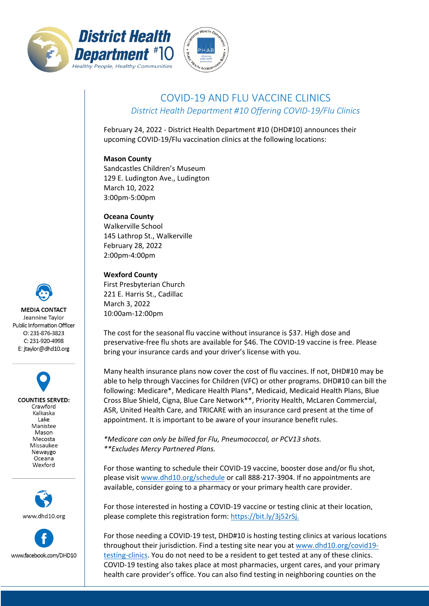



## COVID-19 AND FLU VACCINE CLINICS *District Health Department #10 Offering COVID-19/Flu Clinics*

February 24, 2022 - District Health Department #10 (DHD#10) announces their upcoming COVID-19/Flu vaccination clinics at the following locations:

## **Mason County**

Sandcastles Children's Museum 129 E. Ludington Ave., Ludington March 10, 2022 3:00pm-5:00pm

## **Oceana County**

Walkerville School 145 Lathrop St., Walkerville February 28, 2022 2:00pm-4:00pm

## **Wexford County**

First Presbyterian Church 221 E. Harris St., Cadillac March 3, 2022 10:00am-12:00pm

The cost for the seasonal flu vaccine without insurance is \$37. High dose and preservative-free flu shots are available for \$46. The COVID-19 vaccine is free. Please bring your insurance cards and your driver's license with you.

Many health insurance plans now cover the cost of flu vaccines. If not, DHD#10 may be able to help through Vaccines for Children (VFC) or other programs. DHD#10 can bill the following: Medicare\*, Medicare Health Plans\*, Medicaid, Medicaid Health Plans, Blue Cross Blue Shield, Cigna, Blue Care Network\*\*, Priority Health, McLaren Commercial, ASR, United Health Care, and TRICARE with an insurance card present at the time of appointment. It is important to be aware of your insurance benefit rules.

*\*Medicare can only be billed for Flu, Pneumococcal, or PCV13 shots. \*\*Excludes Mercy Partnered Plans.*

For those wanting to schedule their COVID-19 vaccine, booster dose and/or flu shot, please visit [www.dhd10.org/schedule](http://www.dhd10.org/schedule) or call 888-217-3904. If no appointments are available, consider going to a pharmacy or your primary health care provider.

For those interested in hosting a COVID-19 vaccine or testing clinic at their location, please complete this registration form: [https://bit.ly/3j52rSj.](https://bit.ly/3j52rSj)

For those needing a COVID-19 test, DHD#10 is hosting testing clinics at various locations throughout their jurisdiction. Find a testing site near you a[t www.dhd10.org/covid19](http://www.dhd10.org/covid19-testing-clinics) [testing-clinics.](http://www.dhd10.org/covid19-testing-clinics) You do not need to be a resident to get tested at any of these clinics. COVID-19 testing also takes place at most pharmacies, urgent cares, and your primary health care provider's office. You can also find testing in neighboring counties on the



**COUNTIES SERVED:** Crawford Kalkaska Lake Manistee Mason Mecosta Missaukee Newaygo Oceana Wexford